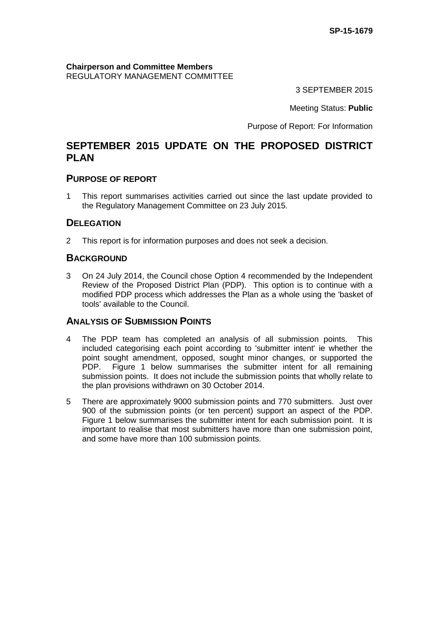**Chairperson and Committee Members** REGULATORY MANAGEMENT COMMITTEE

3 SEPTEMBER 2015

Meeting Status: **Public**

Purpose of Report: For Information

# **SEPTEMBER 2015 UPDATE ON THE PROPOSED DISTRICT PLAN**

## **PURPOSE OF REPORT**

1 This report summarises activities carried out since the last update provided to the Regulatory Management Committee on 23 July 2015.

## **DELEGATION**

2 This report is for information purposes and does not seek a decision.

### **BACKGROUND**

3 On 24 July 2014, the Council chose Option 4 recommended by the Independent Review of the Proposed District Plan (PDP). This option is to continue with a modified PDP process which addresses the Plan as a whole using the 'basket of tools' available to the Council.

## **ANALYSIS OF SUBMISSION POINTS**

- 4 The PDP team has completed an analysis of all submission points. This included categorising each point according to 'submitter intent' ie whether the point sought amendment, opposed, sought minor changes, or supported the PDP. Figure 1 below summarises the submitter intent for all remaining submission points. It does not include the submission points that wholly relate to the plan provisions withdrawn on 30 October 2014.
- 5 There are approximately 9000 submission points and 770 submitters. Just over 900 of the submission points (or ten percent) support an aspect of the PDP. Figure 1 below summarises the submitter intent for each submission point. It is important to realise that most submitters have more than one submission point, and some have more than 100 submission points.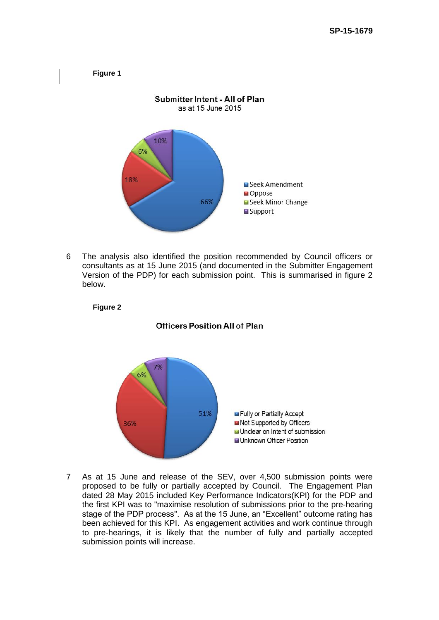

6 The analysis also identified the position recommended by Council officers or consultants as at 15 June 2015 (and documented in the Submitter Engagement Version of the PDP) for each submission point. This is summarised in figure 2 below.





# **Officers Position All of Plan**

7 As at 15 June and release of the SEV, over 4,500 submission points were proposed to be fully or partially accepted by Council. The Engagement Plan dated 28 May 2015 included Key Performance Indicators(KPI) for the PDP and the first KPI was to "maximise resolution of submissions prior to the pre-hearing stage of the PDP process". As at the 15 June, an "Excellent" outcome rating has been achieved for this KPI. As engagement activities and work continue through to pre-hearings, it is likely that the number of fully and partially accepted submission points will increase.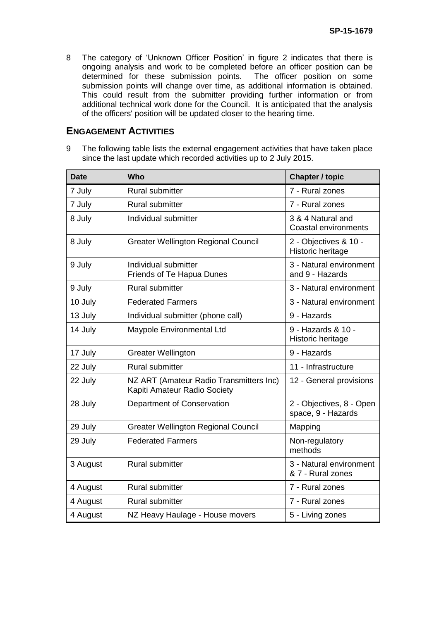8 The category of 'Unknown Officer Position' in figure 2 indicates that there is ongoing analysis and work to be completed before an officer position can be determined for these submission points. The officer position on some submission points will change over time, as additional information is obtained. This could result from the submitter providing further information or from additional technical work done for the Council. It is anticipated that the analysis of the officers' position will be updated closer to the hearing time.

#### **ENGAGEMENT ACTIVITIES**

9 The following table lists the external engagement activities that have taken place since the last update which recorded activities up to 2 July 2015.

| <b>Date</b> | <b>Who</b>                                                              | <b>Chapter / topic</b>                           |
|-------------|-------------------------------------------------------------------------|--------------------------------------------------|
| 7 July      | Rural submitter                                                         | 7 - Rural zones                                  |
| 7 July      | Rural submitter                                                         | 7 - Rural zones                                  |
| 8 July      | Individual submitter                                                    | 3 & 4 Natural and<br><b>Coastal environments</b> |
| 8 July      | <b>Greater Wellington Regional Council</b>                              | 2 - Objectives & 10 -<br>Historic heritage       |
| 9 July      | Individual submitter<br>Friends of Te Hapua Dunes                       | 3 - Natural environment<br>and 9 - Hazards       |
| 9 July      | Rural submitter                                                         | 3 - Natural environment                          |
| 10 July     | <b>Federated Farmers</b>                                                | 3 - Natural environment                          |
| 13 July     | Individual submitter (phone call)                                       | 9 - Hazards                                      |
| 14 July     | Maypole Environmental Ltd                                               | 9 - Hazards & 10 -<br>Historic heritage          |
| 17 July     | <b>Greater Wellington</b>                                               | 9 - Hazards                                      |
| 22 July     | <b>Rural submitter</b>                                                  | 11 - Infrastructure                              |
| 22 July     | NZ ART (Amateur Radio Transmitters Inc)<br>Kapiti Amateur Radio Society | 12 - General provisions                          |
| 28 July     | Department of Conservation                                              | 2 - Objectives, 8 - Open<br>space, 9 - Hazards   |
| 29 July     | <b>Greater Wellington Regional Council</b>                              | Mapping                                          |
| 29 July     | <b>Federated Farmers</b>                                                | Non-regulatory<br>methods                        |
| 3 August    | <b>Rural submitter</b>                                                  | 3 - Natural environment<br>& 7 - Rural zones     |
| 4 August    | Rural submitter                                                         | 7 - Rural zones                                  |
| 4 August    | <b>Rural submitter</b>                                                  | 7 - Rural zones                                  |
| 4 August    | NZ Heavy Haulage - House movers                                         | 5 - Living zones                                 |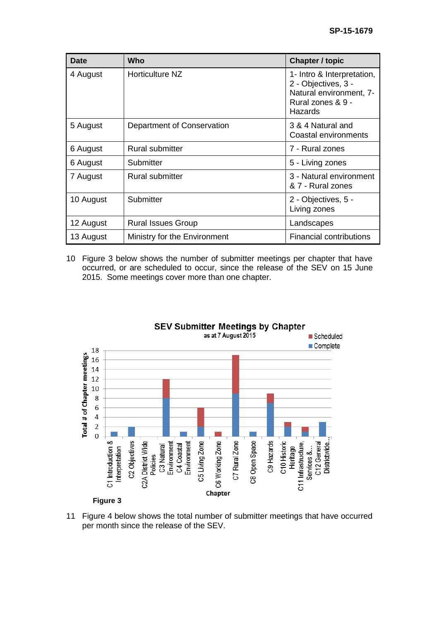| <b>Date</b> | Who                          | <b>Chapter / topic</b>                                                                                       |
|-------------|------------------------------|--------------------------------------------------------------------------------------------------------------|
| 4 August    | Horticulture NZ              | 1- Intro & Interpretation,<br>2 - Objectives, 3 -<br>Natural environment, 7-<br>Rural zones & 9 -<br>Hazards |
| 5 August    | Department of Conservation   | 3 & 4 Natural and<br>Coastal environments                                                                    |
| 6 August    | <b>Rural submitter</b>       | 7 - Rural zones                                                                                              |
| 6 August    | Submitter                    | 5 - Living zones                                                                                             |
| 7 August    | Rural submitter              | 3 - Natural environment<br>& 7 - Rural zones                                                                 |
| 10 August   | Submitter                    | 2 - Objectives, 5 -<br>Living zones                                                                          |
| 12 August   | <b>Rural Issues Group</b>    | Landscapes                                                                                                   |
| 13 August   | Ministry for the Environment | <b>Financial contributions</b>                                                                               |

10 Figure 3 below shows the number of submitter meetings per chapter that have occurred, or are scheduled to occur, since the release of the SEV on 15 June 2015. Some meetings cover more than one chapter.



11 Figure 4 below shows the total number of submitter meetings that have occurred per month since the release of the SEV.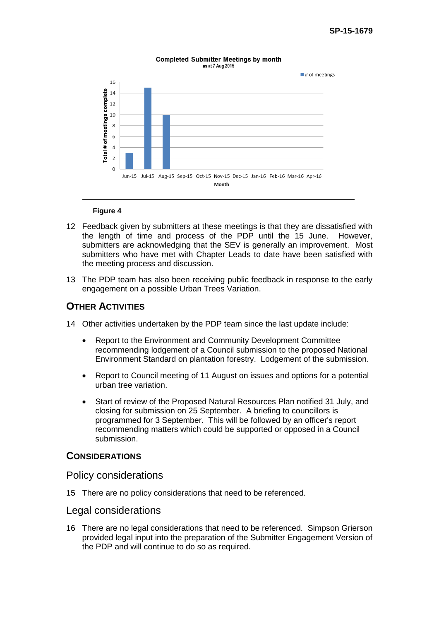#### **Completed Submitter Meetings by month** as at 7 Aug 2015



#### **Figure 4**

- 12 Feedback given by submitters at these meetings is that they are dissatisfied with the length of time and process of the PDP until the 15 June. However, submitters are acknowledging that the SEV is generally an improvement. Most submitters who have met with Chapter Leads to date have been satisfied with the meeting process and discussion.
- 13 The PDP team has also been receiving public feedback in response to the early engagement on a possible Urban Trees Variation.

## **OTHER ACTIVITIES**

- 14 Other activities undertaken by the PDP team since the last update include:
	- Report to the Environment and Community Development Committee recommending lodgement of a Council submission to the proposed National Environment Standard on plantation forestry. Lodgement of the submission.
	- Report to Council meeting of 11 August on issues and options for a potential urban tree variation.
	- Start of review of the Proposed Natural Resources Plan notified 31 July, and closing for submission on 25 September. A briefing to councillors is programmed for 3 September. This will be followed by an officer's report recommending matters which could be supported or opposed in a Council submission.

### **CONSIDERATIONS**

Policy considerations

15 There are no policy considerations that need to be referenced.

#### Legal considerations

16 There are no legal considerations that need to be referenced. Simpson Grierson provided legal input into the preparation of the Submitter Engagement Version of the PDP and will continue to do so as required.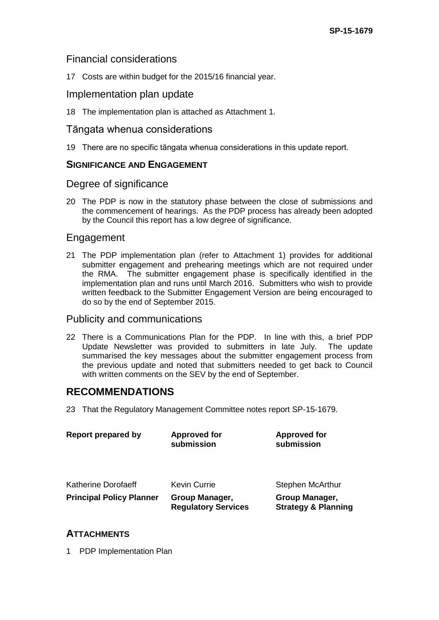## Financial considerations

17 Costs are within budget for the 2015/16 financial year.

## Implementation plan update

18 The implementation plan is attached as Attachment 1.

## Tāngata whenua considerations

19 There are no specific tāngata whenua considerations in this update report.

## **SIGNIFICANCE AND ENGAGEMENT**

## Degree of significance

20 The PDP is now in the statutory phase between the close of submissions and the commencement of hearings. As the PDP process has already been adopted by the Council this report has a low degree of significance.

## Engagement

21 The PDP implementation plan (refer to Attachment 1) provides for additional submitter engagement and prehearing meetings which are not required under the RMA. The submitter engagement phase is specifically identified in the implementation plan and runs until March 2016. Submitters who wish to provide written feedback to the Submitter Engagement Version are being encouraged to do so by the end of September 2015.

## Publicity and communications

22 There is a Communications Plan for the PDP. In line with this, a brief PDP Update Newsletter was provided to submitters in late July. The update summarised the key messages about the submitter engagement process from the previous update and noted that submitters needed to get back to Council with written comments on the SEV by the end of September.

## **RECOMMENDATIONS**

23 That the Regulatory Management Committee notes report SP-15-1679.

| Report prepared by              | <b>Approved for</b><br>submission            | <b>Approved for</b><br>submission                |
|---------------------------------|----------------------------------------------|--------------------------------------------------|
| Katherine Dorofaeff             | <b>Kevin Currie</b>                          | <b>Stephen McArthur</b>                          |
| <b>Principal Policy Planner</b> | Group Manager,<br><b>Regulatory Services</b> | Group Manager,<br><b>Strategy &amp; Planning</b> |

## **ATTACHMENTS**

1 PDP Implementation Plan